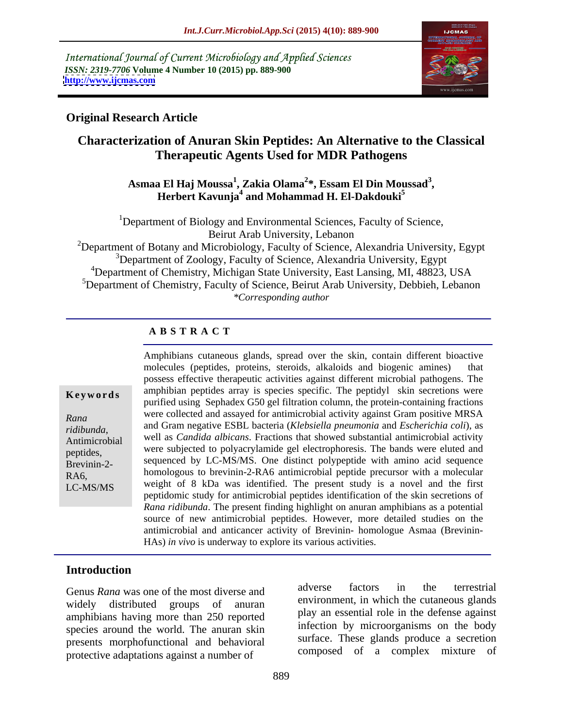International Journal of Current Microbiology and Applied Sciences *ISSN: 2319-7706* **Volume 4 Number 10 (2015) pp. 889-900 <http://www.ijcmas.com>**



### **Original Research Article**

### **Characterization of Anuran Skin Peptides: An Alternative to the Classical Therapeutic Agents Used for MDR Pathogens**

### **Asmaa El Haj Moussa<sup>1</sup> , Zakia Olama<sup>2</sup> \*, Essam El Din Moussad<sup>3</sup>** a El Haj Moussa<sup>1</sup>, Zakia Olama<sup>2</sup>\*, Essam El Din Moussad<sup>3</sup>,<br>Herbert Kavunja<sup>4</sup> and Mohammad H. El-Dakdouki<sup>5</sup>

<sup>1</sup>Department of Biology and Environmental Sciences, Faculty of Science, Beirut Arab University, Lebanon

<sup>2</sup>Department of Botany and Microbiology, Faculty of Science, Alexandria University, Egypt  $3$ Department of Zoology, Faculty of Science, Alexandria University, Egypt <sup>4</sup>Department of Chemistry, Michigan State University, East Lansing, MI, 48823, USA  $5$ Department of Chemistry, Faculty of Science, Beirut Arab University, Debbieh, Lebanon *\*Corresponding author*

### **A B S T R A C T**

LC-MS/MS

Amphibians cutaneous glands, spread over the skin, contain different bioactive molecules (peptides, proteins, steroids, alkaloids and biogenic amines) that possess effective therapeutic activities against different microbial pathogens. The **Keywords** amphibian peptides array is species specific. The peptidyl skin secretions were purified using Sephadex G50 gel filtration column, the protein-containing fractions were collected and assayed for antimicrobial activity against Gram positive MRSA *Rana*  and Gram negative ESBL bacteria (*Klebsiella pneumonia* and *Escherichia coli*), as *ridibunda*, Antimicrobial well as *Candida albicans*. Fractions that showed substantial antimicrobial activity were subjected to polyacrylamide gel electrophoresis. The bands were eluted and peptides, Brevinin-2-<br>Brevinin-2-<br>
Sequenced by LC-MS/MS. One distinct polypeptide with amino acid sequence homologous to brevinin-2-RA6 antimicrobial peptide precursor with a molecular RA6, weight of 8 kDa was identified. The present study is a novel and the first peptidomic study for antimicrobial peptides identification of the skin secretions of *Rana ridibunda*. The present finding highlight on anuran amphibians as a potential source of new antimicrobial peptides. However, more detailed studies on the antimicrobial and anticancer activity of Brevinin- homologue Asmaa (Brevinin- HAs) *in vivo* is underway to explore its various activities.

### **Introduction**

amphibians having more than 250 reported species around the world. The anuran skin presents morphofunctional and behavioral protective adaptations against a number of

Genus *Rana* was one of the most diverse and adverse factors in the terrestrial widely distributed groups of anuran environment, in which the cutaneous grands adverse factors in the terrestrial environment, in which the cutaneous glands play an essential role in the defense against infection by microorganisms on the body surface. These glands produce a secretion composed of a complex mixture of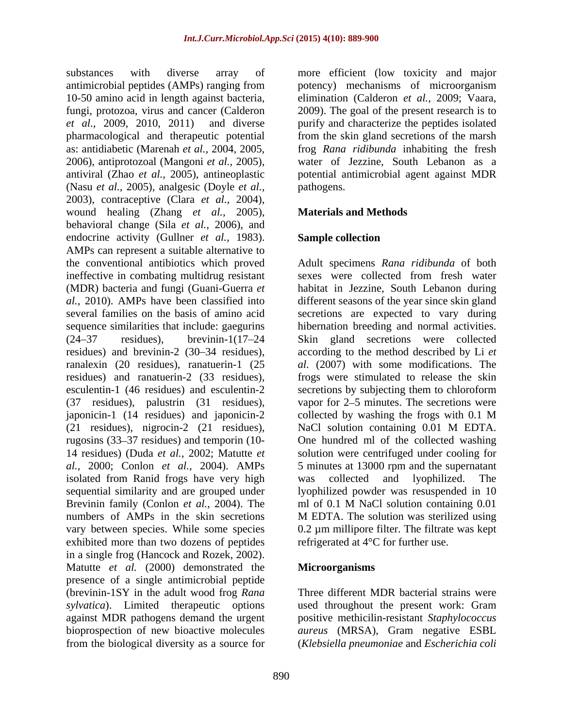antimicrobial peptides (AMPs) ranging from potency) mechanisms of microorganism 10-50 amino acid in length against bacteria, elimination (Calderon *et al.,* 2009; Vaara, fungi, protozoa, virus and cancer (Calderon 2009). The goal of the present research is to *et al.,* 2009, 2010, 2011) and diverse purify and characterize the peptides isolated pharmacological and therapeutic potential from the skin gland secretions of the marsh as: antidiabetic (Marenah *et al.,* 2004, 2005, 2006), antiprotozoal (Mangoni *et al.,* 2005), antiviral (Zhao *et al.,* 2005), antineoplastic potential antimicrobial agent against MDR (Nasu *et al.,* 2005), analgesic (Doyle *et al.,* 2003), contraceptive (Clara *et al.,* 2004), wound healing (Zhang *et al.,* 2005), behavioral change (Sila *et al.,* 2006), and endocrine activity (Gullner *et al.,* 1983). AMPs can represent a suitable alternative to the conventional antibiotics which proved Adult specimens *Rana ridibunda* of both ineffective in combating multidrug resistant sexes were collected from fresh water (MDR) bacteria and fungi (Guani-Guerra *et*  habitat in Jezzine, South Lebanon during *al.,* 2010). AMPs have been classified into different seasons of the year since skin gland several families on the basis of amino acid secretions are expected to vary during sequence similarities that include: gaegurins hibernation breeding and normal activities. (24 37 residues), brevinin-1(17 24 Skin gland secretions were collected residues) and brevinin-2 (30–34 residues), according to the method described by Li *et* ranalexin (20 residues), ranatuerin-1 (25 *al.* (2007) with some modifications. The residues) and ranatuerin-2 (33 residues), frogs were stimulated to release the skin esculentin-1 (46 residues) and esculentin-2 secretions by subjecting them to chloroform (37 residues), palustrin (31 residues), japonicin-1 (14 residues) and japonicin-2 (21 residues), nigrocin-2 (21 residues), rugosins (33 37 residues) and temporin (10- One hundred ml of the collected washing 14 residues) (Duda *et al.,* 2002; Matutte *et*  solution were centrifuged under cooling for *al.,* 2000; Conlon *et al.,* 2004). AMPs 5 minutes at 13000 rpm and the supernatant isolated from Ranid frogs have very high was collected and lyophilized. The sequential similarity and are grouped under lyophilized powder was resuspended in 10 Brevinin family (Conlon *et al.*, 2004). The ml of 0.1 M NaCl solution containing 0.01 numbers of AMPs in the skin secretions M EDTA. The solution was sterilized using vary between species. While some species exhibited more than two dozens of peptides in a single frog (Hancock and Rozek, 2002). Matutte *et al.* (2000) demonstrated the presence of a single antimicrobial peptide (brevinin-1SY in the adult wood frog *Rana sylvatica*). Limited therapeutic options used throughout the present work: Gram against MDR pathogens demand the urgent positive methicilin-resistant *Staphylococcus* bioprospection of new bioactive molecules *aureus* (MRSA), Gram negative ESBL

substances with diverse array of more efficient (low toxicity and major frog *Rana ridibunda* inhabiting the fresh water of Jezzine, South Lebanon as a pathogens.

### **Materials and Methods**

### **Sample collection**

sexes were collected from fresh water vapor for  $2-5$  minutes. The secretions were collected by washing the frogs with 0.1 M NaCl solution containing 0.01 M EDTA. was collected and lyophilized. The ml of 0.1 M NaCl solution containing 0.01 M EDTA. The solution was sterilized using 0.2 µm millipore filter. The filtrate was kept refrigerated at 4°C for further use.

### **Microorganisms**

from the biological diversity as a source for (*Klebsiella pneumoniae* and *Escherichia coli* Three different MDR bacterial strains were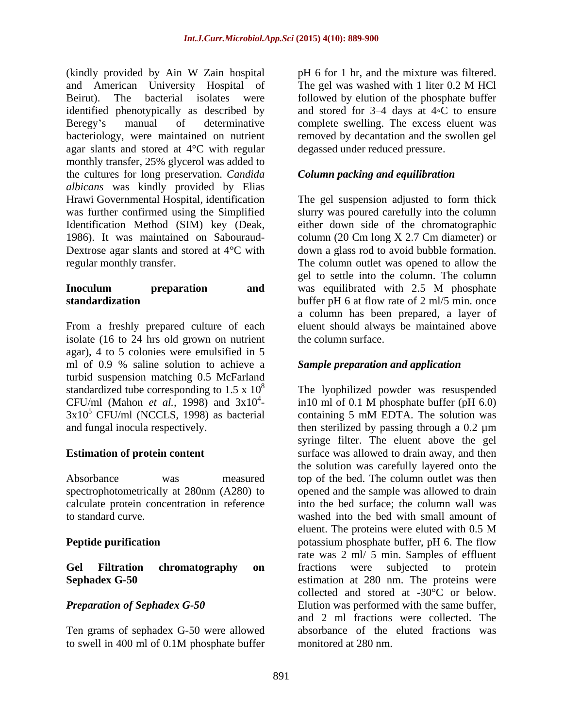(kindly provided by Ain W Zain hospital and American University Hospital of The gel was washed with 1 liter 0.2 M HCl Beirut). The bacterial isolates were followed by elution of the phosphate buffer identified phenotypically as described by and stored for  $3-4$  days at  $4\degree$ C to ensure Beregy's manual of determinative complete swelling. The excess eluent was bacteriology, were maintained on nutrient agar slants and stored at 4°C with regular monthly transfer, 25% glycerol was added to the cultures for long preservation. *Candida albicans* was kindly provided by Elias Hrawi Governmental Hospital, identification The gel suspension adjusted to form thick was further confirmed using the Simplified slurry was poured carefully into the column Identification Method (SIM) key (Deak, either down side of the chromatographic 1986). It was maintained on Sabouraud- column (20 Cm long X 2.7 Cm diameter) or Dextrose agar slants and stored at 4<sup>o</sup>C with down a glass rod to avoid bubble formation.

# **Inoculum preparation and** was equilibrated with 2.5 M phosphate

From a freshly prepared culture of each eluent should always be maintained above isolate (16 to 24 hrs old grown on nutrient agar), 4 to 5 colonies were emulsified in 5 ml of 0.9 % saline solution to achieve a turbid suspension matching 0.5 McFarland  $3x10^5$  CFU/ml (NCCLS, 1998) as bacterial containing 5 mM EDTA. The solution was

calculate protein concentration in reference

Ten grams of sephadex G-50 were allowed

pH 6 for 1 hr, and the mixture was filtered. The gel was washed with 1 liter 0.2 M HCl removed by decantation and the swollen gel degassed under reduced pressure.

### *Column packing and equilibration*

regular monthly transfer. The column outlet was opened to allow the **standardization** buffer pH 6 at flow rate of 2 ml/5 min. once gel to settle into the column. The column was equilibrated with 2.5 M phosphate a column has been prepared, a layer of the column surface.

### *Sample preparation and application*

standardized tube corresponding to  $1.5 \times 10^8$  The lyophilized powder was resuspended CFU/ml (Mahon *et al.*, 1998) and  $3x10^4$ - in 10 ml of 0.1 M phosphate buffer (pH 6.0) and fungal inocula respectively. then sterilized by passing through a 0.2 µm **Estimation of protein content** surface was allowed to drain away, and then Absorbance was measured top of the bed. The column outlet was then spectrophotometrically at 280nm (A280) to opened and the sample was allowed to drain to standard curve. washed into the bed with small amount of **Peptide purification potassium** phosphate buffer, pH 6. The flow **Gel Filtration chromatography on Sephadex G-50** estimation at 280 nm. The proteins were **Preparation of Sephadex G-50** Elution was performed with the same buffer, to swell in 400 ml of 0.1M phosphate buffer in10 ml of 0.1 M phosphate buffer (pH 6.0) containing 5 mM EDTA. The solution was syringe filter. The eluent above the gel the solution was carefully layered onto the into the bed surface; the column wall was eluent. The proteins were eluted with 0.5 M rate was 2 ml/ 5 min. Samples of effluent fractions were subjected to protein collected and stored at -30°C or below. and 2 ml fractions were collected. The absorbance of the eluted fractions was monitored at 280 nm.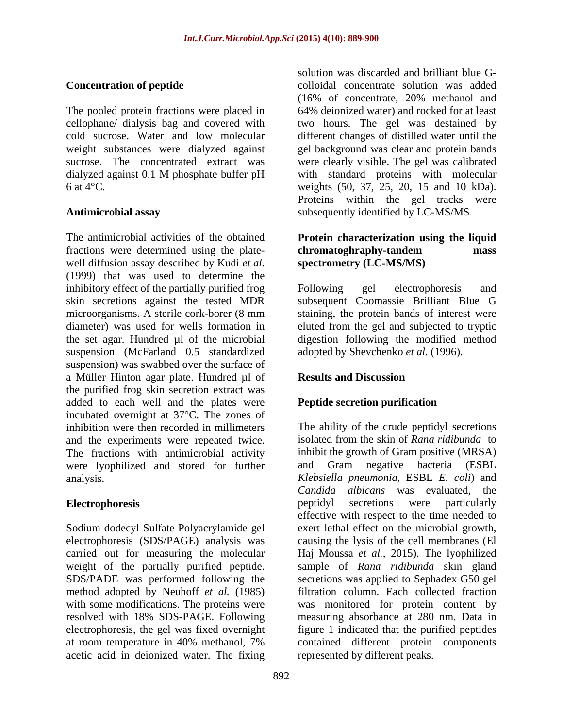The pooled protein fractions were placed in

The antimicrobial activities of the obtained **Protein characterization using the liquid** fractions were determined using the plate-<br>
chromatoghraphy-tandem<br>
mass well diffusion assay described by Kudi *et al.* (1999) that was used to determine the inhibitory effect of the partially purified frog Following gel electrophoresis and skin secretions against the tested MDR subsequent Coomassie Brilliant Blue G microorganisms. A sterile cork-borer (8 mm staining, the protein bands of interest were diameter) was used for wells formation in eluted from the gel and subjected to tryptic the set agar. Hundred µl of the microbial digestion following the modified method suspension (McFarland 0.5 standardized suspension) was swabbed over the surface of a Müller Hinton agar plate. Hundred µl of **Results and Discussion** the purified frog skin secretion extract was added to each well and the plates were incubated overnight at 37°C. The zones of and the experiments were repeated twice. The fractions with antimicrobial activity inhibit the growth of Gram positive (MRSA) were lyophilized and stored for further and Gram negative bacteria (ESBL) were lyophilized and stored for further

Sodium dodecyl Sulfate Polyacrylamide gel acetic acid in deionized water. The fixing

**Concentration of peptide** Colloidal concentrate solution was added cellophane/ dialysis bag and covered with two hours. The gel was destained by cold sucrose. Water and low molecular different changes of distilled water until the weight substances were dialyzed against gel background was clear and protein bands sucrose. The concentrated extract was were clearly visible. The gel was calibrated dialyzed against 0.1 M phosphate buffer pH with standard proteins with molecular 6 at 4°C. weights (50, 37, 25, 20, 15 and 10 kDa). **Antimicrobial assay** subsequently identified by LC-MS/MS. solution was discarded and brilliant blue G- (16% of concentrate, 20% methanol and 64% deionized water) and rocked for at least with standard proteins with molecular Proteins within the gel tracks were

## **chromatoghraphy-tandem mass spectrometry (LC-MS/MS)**

Following gel electrophoresis and adopted by Shevchenko *et al.* (1996).

### **Results and Discussion**

### **Peptide secretion purification**

inhibition were then recorded in millimeters The ability of the crude peptidyl secretions analysis. *Klebsiella pneumonia*, ESBL *E. coli*) and **Electrophoresis Electrophoresis Electrophoresis Electrophoresis Electrophoresis** electrophoresis (SDS/PAGE) analysis was causing the lysis of the cell membranes (El carried out for measuring the molecular Haj Moussa *et al.,* 2015).The lyophilized weight of the partially purified peptide. sample of *Rana ridibunda* skin gland SDS/PADE was performed following the secretions was applied to Sephadex G50 gel method adopted by Neuhoff *et al.* (1985) filtration column. Each collected fraction with some modifications. The proteins were was monitored for protein content by resolved with 18% SDS-PAGE. Following measuring absorbance at 280 nm. Data in electrophoresis, the gel was fixed overnight figure 1 indicated that the purified peptides at room temperature in 40% methanol, 7% isolated from the skin of *Rana ridibunda* to inhibit the growth of Gram positive (MRSA) and Gram negative bacteria (ESBL *Candida albicans* was evaluated, the peptidyl secretions were particularly effective with respect to the time needed to exert lethal effect on the microbial growth, contained different protein components represented by different peaks.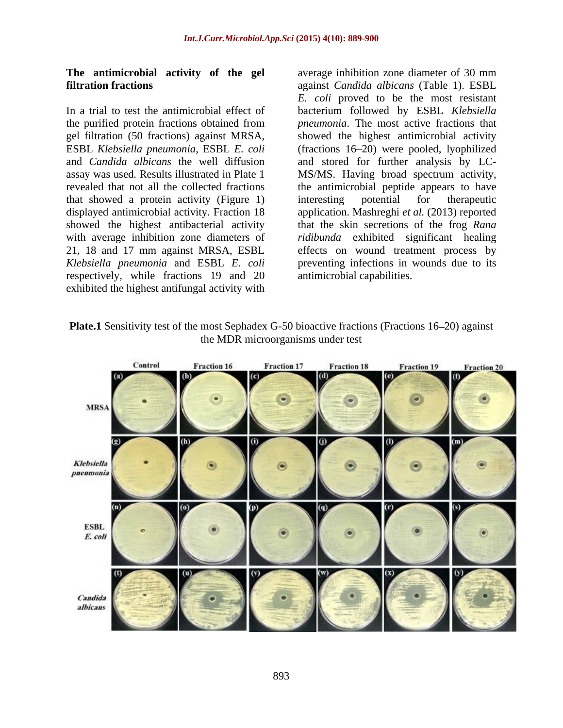In a trial to test the antimicrobial effect of bacterium followed by ESBL *Klebsiella*  the purified protein fractions obtained from gel filtration (50 fractions) against MRSA, ESBL *Klebsiella pneumonia*, ESBL *E. coli* (fractions 16 20) were pooled, lyophilized and *Candida albicans* the well diffusion and stored for further analysis by LC assay was used. Results illustrated in Plate 1 MS/MS. Having broad spectrum activity, revealed that not all the collected fractions the antimicrobial peptide appears to have that showed a protein activity (Figure 1) displayed antimicrobial activity. Fraction 18 application. Mashreghi *et al.* (2013) reported showed the highest antibacterial activity that the skin secretions of the frog *Rana*  with average inhibition zone diameters of *ridibunda* exhibited significant healing 21, 18 and 17 mm against MRSA, ESBL effects on wound treatment process by *Klebsiella pneumonia* and ESBL *E. coli* preventing infections in wounds due to its respectively, while fractions 19 and 20 exhibited the highest antifungal activity with

**The antimicrobial activity of the gel** average inhibition zone diameter of 30 mm **filtration fractions** against *Candida albicans* (Table 1). ESBL *E. coli* proved to be the most resistant *pneumonia*. The most active fractions that showed the highest antimicrobial activity interesting potential for therapeutic antimicrobial capabilities.

**Plate.1** Sensitivity test of the most Sephadex G-50 bioactive fractions (Fractions 16–20) against the MDR microorganisms under test

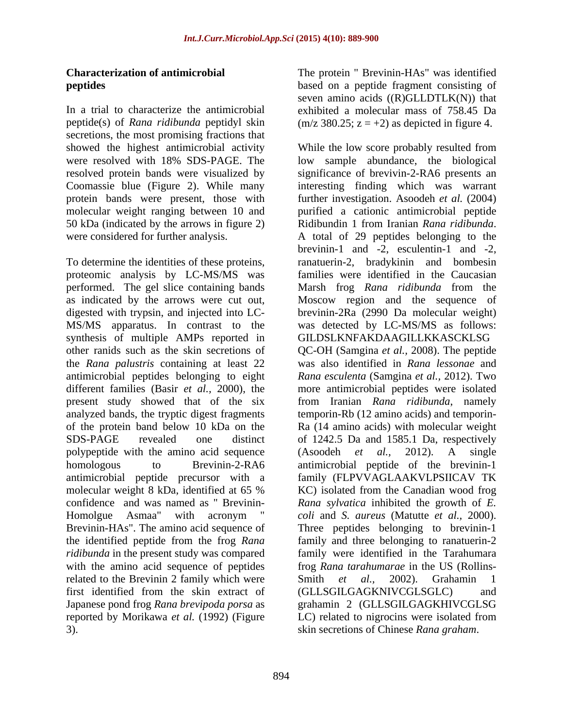secretions, the most promising fractions that 50 kDa (indicated by the arrows in figure 2) Ridibundin 1 from Iranian Rana ridibunda. were considered for further analysis. A total of 29 peptides belonging to the

To determine the identities of these proteins, proteomic analysis by LC-MS/MS was performed. The gel slice containing bands synthesis of multiple AMPs reported in antimicrobial peptides belonging to eight polypeptide with the amino acid sequence  $(Asoodeh$  *et al.*, 2012). A single antimicrobial peptide precursor with a molecular weight 8 kDa, identified at 65 % related to the Brevinin 2 family which were Smith et al., 2002). Grahamin 1 first identified from the skin extract of (GLLSGILGAGKNIVCGLSGLC) and

**Characterization of antimicrobial**  The protein " Brevinin-HAs" was identified **peptides** based on a peptide fragment consisting of In a trial to characterize the antimicrobial exhibited a molecular mass of 758.45 Da peptide(s) of *Rana ridibunda* peptidyl skin (m/z 380.25; z = +2) as depicted in figure 4. seven amino acids  $((R)GLLDTLK(N))$  that

showed the highest antimicrobial activity While the low score probably resulted from were resolved with 18% SDS-PAGE. The low sample abundance, the biological resolved protein bands were visualized by significance of brevivin-2-RA6 presents an Coomassie blue (Figure 2). While many interesting finding which was warrant protein bands were present, those with further investigation.Asoodeh *et al.* (2004) molecular weight ranging between 10 and purified a cationic antimicrobial peptide as indicated by the arrows were cut out, Moscow region and the sequence of digested with trypsin, and injected into LC- brevinin-2Ra (2990 Da molecular weight) MS/MS apparatus. In contrast to the was detected by LC-MS/MS as follows: other ranids such as the skin secretions of QC-OH (Samgina *et al.,* 2008). The peptide the *Rana palustris* containing at least 22 was also identified in *Rana lessonae* and different families (Basir *et al.,* 2000), the more antimicrobial peptides were isolated present study showed that of the six from Iranian *Rana ridibunda*, namely analyzed bands, the tryptic digest fragments temporin-Rb (12 amino acids) and temporin of the protein band below 10 kDa on the Ra (14 amino acids) with molecular weight SDS-PAGE revealed one distinct of 1242.5 Da and 1585.1 Da, respectively homologous to Brevinin-2-RA6 antimicrobial peptide of the brevinin-1 confidence and was named as " Brevinin- *Rana sylvatica* inhibited the growth of *E.*  Homolgue Asmaa" with acronym " *coli* and *S. aureus* (Matutte *et al.,* 2000). Brevinin-HAs". The amino acid sequence of Three peptides belonging to brevinin-1 the identified peptide from the frog *Rana*  family and three belonging to ranatuerin-2 *ridibunda* in the present study was compared family were identified in the Tarahumara with the amino acid sequence of peptides frog *Rana tarahumarae* in the US (Rollins- Japanese pond frog *Rana brevipoda porsa* as grahamin 2 (GLLSGILGAGKHIVCGLSG reported by Morikawa *et al.* (1992) (Figure LC) related to nigrocins were isolated from 3). skin secretions of Chinese *Rana graham*. Ridibundin <sup>1</sup> from Iranian *Rana ridibunda*. A total of <sup>29</sup> peptides belonging to the brevinin-1 and -2, esculentin-1 and -2, ranatuerin-2, bradykinin and bombesin families were identified in the Caucasian Marsh frog *Rana ridibunda* from the GILDSLKNFAKDAAGILLKKASCKLSG *Rana esculenta* (Samgina *et al.,* 2012). Two (Asoodeh *et al.,* 2012). A single family (FLPVVAGLAAKVLPSIICAV TK KC) isolated from the Canadian wood frog Smith *et al.,* 2002). Grahamin 1 (GLLSGILGAGKNIVCGLSGLC)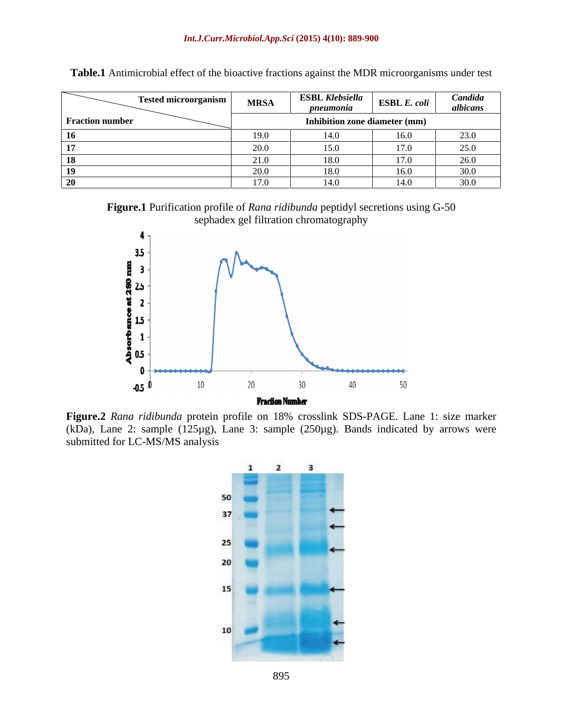| Tested microorganism   | <b>MRSA</b> | <b>ESBL Klebsiella</b><br>pneumonia | $\Big $ ESBL E. coli | Candida<br>albicans         |
|------------------------|-------------|-------------------------------------|----------------------|-----------------------------|
| <b>Fraction number</b> |             | Inhibition zone diameter (mm)       |                      |                             |
|                        | 19.0        |                                     | 160<br>1 V.V         | 220<br>23!                  |
|                        |             |                                     |                      | $\sim$ $\sim$ $\sim$<br>، ب |
|                        |             |                                     | 170                  |                             |
|                        |             |                                     | 160<br>1 V.V         | - 30.0                      |
|                        | 170         | 140                                 | $140-$               | $\sim$ $\sim$               |

**Table.1** Antimicrobial effect of the bioactive fractions against the MDR microorganisms under test

**Figure.1** Purification profile of *Rana ridibunda* peptidyl secretions using G-50 sephadex gel filtration chromatography



**Figure.2** *Rana ridibunda* protein profile on 18% crosslink SDS-PAGE. Lane 1: size marker (kDa), Lane 2: sample ( $125\mu$ g), Lane 3: sample ( $250\mu$ g). Bands indicated by arrows were submitted for LC-MS/MS analysis

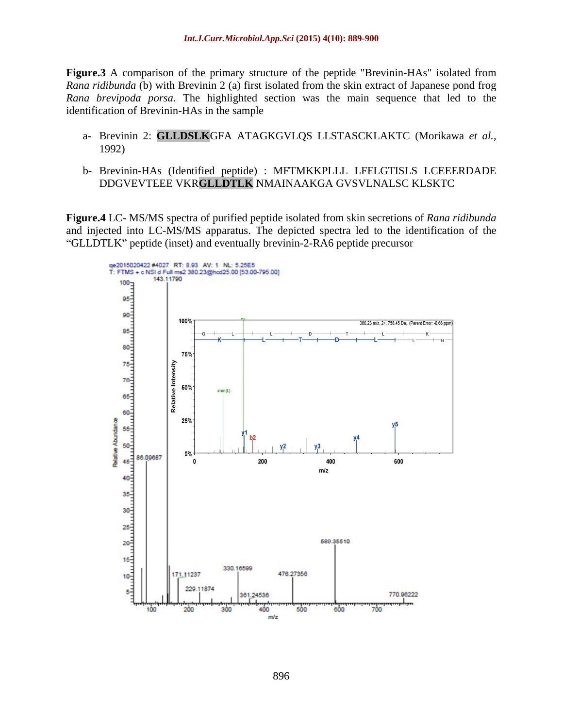**Figure.3** A comparison of the primary structure of the peptide "Brevinin-HAs" isolated from *Rana ridibunda* (b) with Brevinin 2 (a) first isolated from the skin extract of Japanese pond frog *Rana brevipoda porsa*. The highlighted section was the main sequence that led to the identification of Brevinin-HAs in the sample

- a- Brevinin 2: **GLLDSLK**GFA ATAGKGVLQS LLSTASCKLAKTC (Morikawa *et al.,* 1992)
- b- Brevinin-HAs (Identified peptide) : MFTMKKPLLL LFFLGTISLS LCEEERDADE DDGVEVTEEE VKR**GLLDTLK** NMAINAAKGA GVSVLNALSC KLSKTC

**Figure.4** LC- MS/MS spectra of purified peptide isolated from skin secretions of *Rana ridibunda* and injected into LC-MS/MS apparatus. The depicted spectra led to the identification of the "GLLDTLK" peptide (inset) and eventually brevinin-2-RA6 peptide precursor

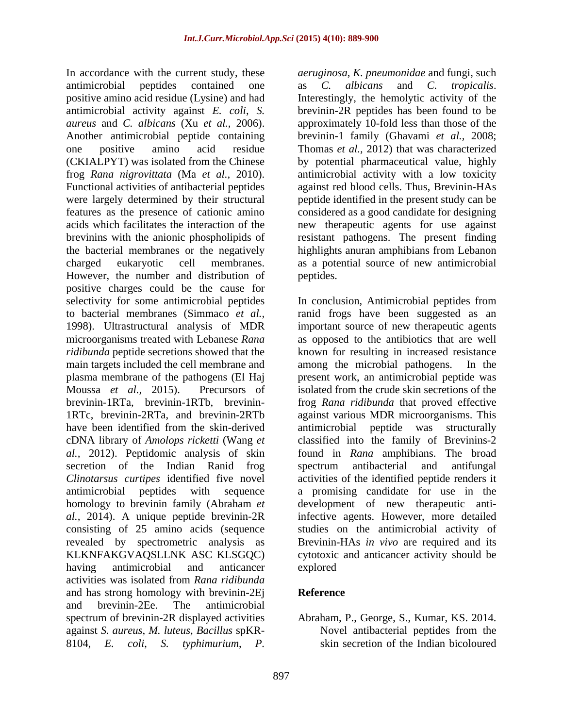antimicrobial peptides contained one as C. albicans and C. tropicalis. positive amino acid residue (Lysine) and had antimicrobial activity against *E. coli*, *S.*  brevinin-2R peptides has been found to be *aureus* and *C. albicans* (Xu *et al.,* 2006). approximately 10-fold less than those of the Another antimicrobial peptide containing one positive amino acid residue Thomas *et al.,* 2012) that was characterized (CKIALPYT) was isolated from the Chinese by potential pharmaceutical value, highly frog *Rana nigrovittata* (Ma *et al.,* 2010). antimicrobial activity with a low toxicity Functional activities of antibacterial peptides against red blood cells. Thus, Brevinin-HAs were largely determined by their structural peptide identified in the present study can be features as the presence of cationic amino considered as a good candidate for designing acids which facilitates the interaction of the new therapeutic agents for use against brevinins with the anionic phospholipids of resistant pathogens. The present finding the bacterial membranes or the negatively highlights anuran amphibians from Lebanon charged eukaryotic cell membranes. as a potential source of new antimicrobial However, the number and distribution of positive charges could be the cause for selectivity for some antimicrobial peptides In conclusion, Antimicrobial peptides from to bacterial membranes (Simmaco *et al.,* ranid frogs have been suggested as an 1998). Ultrastructural analysis of MDR important source of new therapeutic agents microorganisms treated with Lebanese *Rana*  as opposed to the antibiotics that are well *ridibunda* peptide secretions showed that the known for resulting in increased resistance main targets included the cell membrane and among the microbial pathogens. In the plasma membrane of the pathogens (El Haj present work, an antimicrobial peptide was Moussa *et al.,* 2015). Precursors of isolated from the crude skin secretions of the brevinin-1RTa, brevinin-1RTb, brevinin- frog *Rana ridibunda* that proved effective 1RTc, brevinin-2RTa, and brevinin-2RTb against various MDR microorganisms. This have been identified from the skin-derived antimicrobial peptide was structurally cDNA library of *Amolops ricketti* (Wang *et*  classified into the family of Brevinins-2 *al.,* 2012). Peptidomic analysis of skin secretion of the Indian Ranid frog spectrum antibacterial and antifungal *Clinotarsus curtipes* identified five novel activities of the identified peptide renders it antimicrobial peptides with sequence a promising candidate for use in the homology to brevinin family (Abraham *et al.,* 2014). A unique peptide brevinin-2R infective agents. However, more detailed consisting of 25 amino acids (sequence revealed by spectrometric analysis as Brevinin-HAs *in vivo* are required and its KLKNFAKGVAQSLLNK ASC KLSGQC) cytotoxic and anticancer activity should be having antimicrobial and anticancer activities was isolated from *Rana ridibunda* and has strong homology with brevinin-2Ei Reference and brevinin-2Ee. The antimicrobial spectrum of brevinin-2R displayed activities Abraham, P., George, S., Kumar, KS. 2014. against *S. aureus*, *M. luteus*, *Bacillus* spKR-

In accordance with the current study, these *aeruginosa*, *K. pneumonidae* and fungi, such as *C. albicans* and *C. tropicalis*. Interestingly, the hemolytic activity of the brevinin-1 family (Ghavami *et al.,* 2008; peptides.

> among the microbial pathogens. antimicrobial peptide was structurally found in *Rana* amphibians. The broad spectrum antibacterial and antifungal development of new therapeutic antistudies on the antimicrobial activity of explored

### **Reference**

8104, *E. coli*, *S. typhimurium*, *P.*  skin secretion of the Indian bicolouredNovel antibacterial peptides from the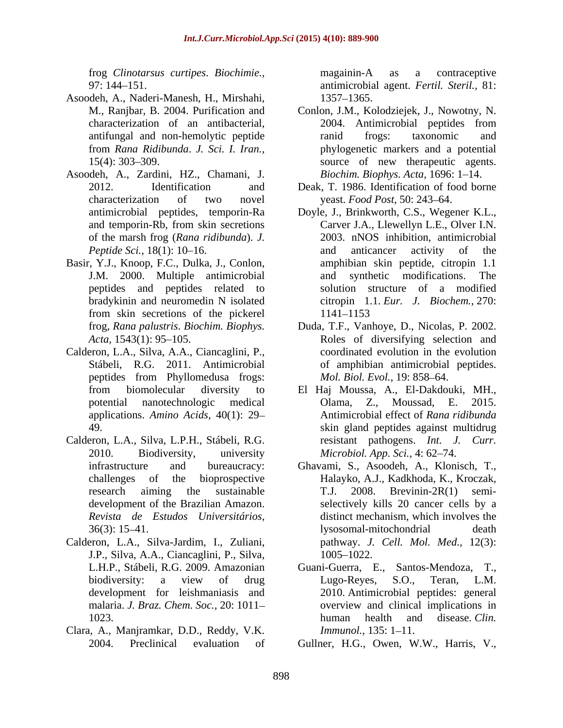frog *Clinotarsus curtipes*. *Biochimie.,* 

- Asoodeh, A., Naderi-Manesh, H., Mirshahi,
- Asoodeh, A., Zardini, HZ., Chamani, J. of the marsh frog (*Rana ridibunda*). *J.*
- Basir, Y.J., Knoop, F.C., Dulka, J., Conlon, peptides and peptides related to bradykinin and neuromedin N isolated from skin secretions of the pickerel
- Calderon, L.A., Silva, A.A., Ciancaglini, P., peptides from Phyllomedusa frogs: *Mol. Biol. Evol.*, 19: 858–64.
- Calderon, L.A., Silva, L.P.H., Stábeli, R.G.
- Calderon, L.A., Silva-Jardim, I., Zuliani, J.P., Silva, A.A., Ciancaglini, P., Silva,
- Clara, A., Manjramkar, D.D., Reddy, V.K.

97: 144 151. antimicrobial agent. *Fertil. Steril.,* 81: magainin-A as a contraceptive 1357 1365.

- M., Ranjbar, B. 2004. Purification and Conlon, J.M., Kolodziejek, J., Nowotny, N. characterization of an antibacterial, antifungal and non-hemolytic peptide from *Rana Ridibunda*. *J. Sci. I. Iran.,* phylogenetic markers and a potential 15(4): 303–309. Source of new therapeutic agents. 2004. Antimicrobial peptides from ranid frogs: taxonomic and *Biochim. Biophys. Acta.* 1696: 1–14.
- 2012. Identification and Deak, T. 1986. Identification of food borne characterization of two novel yeast. *Food Post*, 50: 243–64.
- antimicrobial peptides, temporin-Ra Doyle, J., Brinkworth, C.S., Wegener K.L., and temporin-Rb, from skin secretions Carver J.A., Llewellyn L.E., Olver I.N. *Peptide Sci.,* 18(1): 10–16. The and anticancer activity of the J.M. 2000. Multiple antimicrobial Carver J.A., Llewellyn L.E., Olver I.N. 2003. nNOS inhibition, antimicrobial and anticancer activity of the amphibian skin peptide, citropin 1.1 and synthetic modifications. The solution structure of a modified citropin 1.1. *Eur. J. Biochem.,* 270: 1141–1153
- frog, *Rana palustris*. *Biochim. Biophys.* Duda, T.F., Vanhoye, D., Nicolas, P. 2002. Acta, 1543(1): 95–105. Roles of diversifying selection and Stábeli, R.G. 2011. Antimicrobial of amphibian antimicrobial peptides. coordinated evolution in the evolution *Mol. Biol. Evol.,* 19: 858-64.
- from biomolecular diversity to El Haj Moussa, A., El-Dakdouki, MH., potential nanotechnologic medical applications. *Amino Acids,* 40(1): 29 Antimicrobial effect of *Rana ridibunda* 49. skin gland peptides against multidrug 2010. Biodiversity, university *Microbiol. App. Sci.,* 4: 62 74. Olama, Z., Moussad, E. 2015. resistant pathogens. *Int. J. Curr.*
- infrastructure and bureaucracy: Ghavami, S., Asoodeh, A., Klonisch, T., challenges of the bioprospective Halayko, A.J., Kadkhoda, K., Kroczak, research aiming the sustainable T.J. 2008. Brevinin-2R(1) semidevelopment of the Brazilian Amazon. selectively kills 20 cancer cells by a *Revista de Estudos Universitários,* distinct mechanism, which involves the 36(3): 15–41. lysosomal-mitochondrial death T.J. 2008. Brevinin-2R(1) semi lysosomal-mitochondrial death pathway. *J. Cell. Mol. Med.,* 12(3): 1005–1022.
- L.H.P., Stábeli, R.G. 2009. Amazonian Guani-Guerra, E., Santos-Mendoza, T., biodiversity: a view of drug development for leishmaniasis and 2010. Antimicrobial peptides: general malaria. *J. Braz. Chem. Soc.*, 20: 1011– overview and clinical implications in 1023. human health and disease Clin. Lugo-Reyes, S.O., Teran, L.M. human health and disease*. Clin. Immunol.,* 135: 1–11.
- 2004. Preclinical evaluation of Gullner, H.G., Owen, W.W., Harris, V.,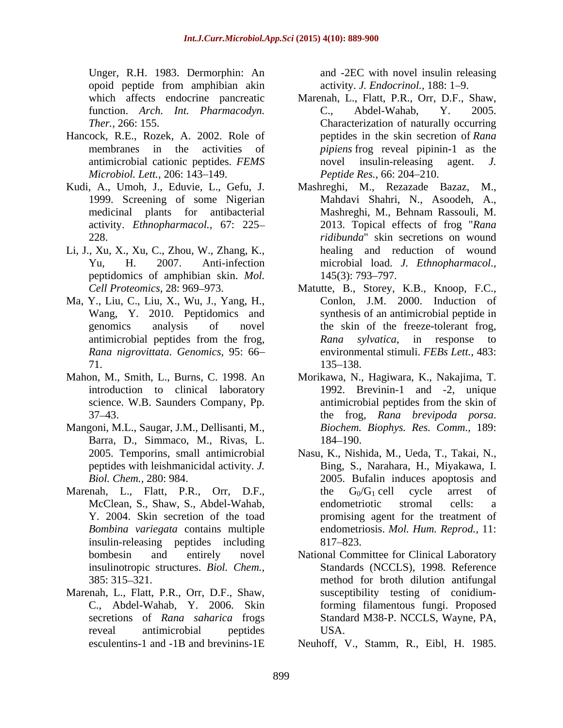Unger, R.H. 1983. Dermorphin: An opoid peptide from amphibian akin

- Hancock, R.E., Rozek, A. 2002. Role of *Microbiol. Lett., 206: 143-149.*
- activity. *Ethnopharmacol.,* 67: 225
- Li, J., Xu, X., Xu, C., Zhou, W., Zhang, K., peptidomics of amphibian skin. *Mol.*
- 
- 
- Mangoni, M.L., Saugar, J.M., Dellisanti, M., Barra, D., Simmaco, M., Rivas, L.
- Marenah, L., Flatt, P.R., Orr, D.F., the  $G_0/G_1$  cell cycle arrest of insulin-releasing peptides including insulinotropic structures. *Biol. Chem.,*
- Marenah, L., Flatt, P.R., Orr, D.F., Shaw,

and -2EC with novel insulin releasing activity. *J. Endocrinol.*, 188: 1-9.

- which affects endocrine pancreatic Marenah, L., Flatt, P.R., Orr, D.F., Shaw,<br>function. Arch. Int. Pharmacodyn. C., Abdel-Wahab, Y. 2005. function. *Arch. Int. Pharmacodyn. Ther.,* 266: 155. Characterization of naturally occurring membranes in the activities of *pipiens* frog reveal pipinin-1 as the antimicrobial cationic peptides. *FEMS*  peptides in the skin secretion of *Rana* novel insulin-releasing agent. *Peptide Res.,* 66: 204-210.
- Kudi, A., Umoh, J., Eduvie, L., Gefu, J. 1999. Screening of some Nigerian Mahdavi Shahri, N., Asoodeh, A., medicinal plants for antibacterial Mashreghi, M., Behnam Rassouli, M. 228. *ridibunda*" skin secretions on wound Yu, H. 2007. Anti-infection microbial load. *J. Ethnopharmacol.,* Mashreghi, M., Rezazade Bazaz, 2013. Topical effects of frog "*Rana*  healing and reduction of wound 145(3): 793–797.
- *Cell Proteomics,* 28: 969 973. Matutte, B., Storey, K.B., Knoop, F.C., Ma, Y., Liu, C., Liu, X., Wu, J., Yang, H., Conlon, J.M. 2000. Induction of Wang, Y. 2010. Peptidomics and synthesis of an antimicrobial peptide in genomics analysis of novel the skin of the freeze-tolerant frog, antimicrobial peptides from the frog, and *Rana sylvatica*, in response to *Rana nigrovittata*. *Genomics,* 95: 66 environmental stimuli. *FEBs Lett.,* 483: 71. *Rana sylvatica*, in response to 135–138.
- Mahon, M., Smith, L., Burns, C. 1998. An Morikawa, N., Hagiwara, K., Nakajima, T. introduction to clinical laboratory 1992. Brevinin-1 and -2, unique science. W.B. Saunders Company, Pp. antimicrobial peptides from the skin of 37 43. the frog, *Rana brevipoda porsa*. antimicrobial peptides from the skin of *Biochem. Biophys. Res. Comm.,* 189: 184–190.
	- 2005. Temporins, small antimicrobial Nasu, K., Nishida, M., Ueda, T., Takai, N., peptides with leishmanicidal activity. *J.*  Bing, S., Narahara, H., Miyakawa, I. *Biol. Chem.,* 280: 984. 2005. Bufalin induces apoptosis and McClean, S., Shaw, S., Abdel-Wahab, Y. 2004. Skin secretion of the toad promising agent for the treatment of *Bombina variegata* contains multiple endometriosis. *Mol. Hum. Reprod.,* 11: the  $G_0/G_1$  cell cycle arrest of endometriotic stromal cells: a 817–823.
	- bombesin and entirely novel National Committee for Clinical Laboratory 385: 315 321. method for broth dilution antifungal C., Abdel-Wahab, Y. 2006. Skin forming filamentous fungi. Proposed secretions of *Rana saharica* frogs Standard M38-P. NCCLS, Wayne, PA, reveal antimicrobial peptides Standards (NCCLS), 1998. Reference susceptibility testing of conidium-USA.
	- esculentins-1 and -1B and brevinins-1E Neuhoff, V., Stamm, R., Eibl, H. 1985.